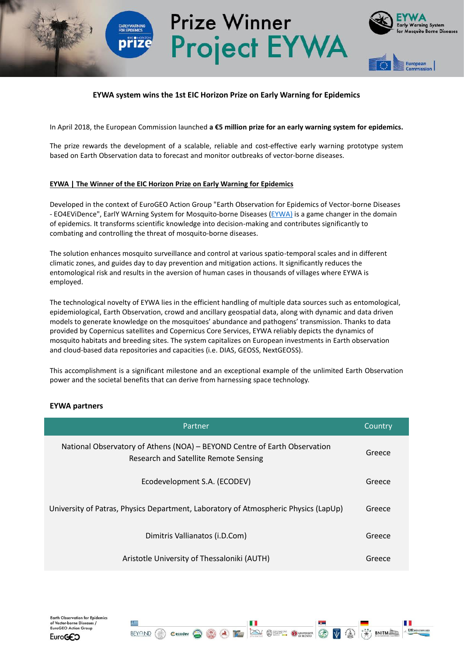# **EYWA system wins the 1st EIC Horizon Prize on Early Warning for Epidemics**

**Prize Winner** 

**Project EYWA** 

In April 2018, the European Commission launched **a €5 million prize for an early warning system for epidemics.**

The prize rewards the development of a scalable, reliable and cost-effective early warning prototype system based on Earth Οbservation data to forecast and monitor outbreaks of vector-borne diseases.

#### **EYWA | Τhe Winner of the EIC Horizon Prize on Early Warning for Epidemics**

Developed in the context of EuroGEO Action Group "Earth Observation for Epidemics of Vector-borne Diseases - EO4EViDence", EarlY WArning System for Mosquito-borne Diseases [\(EYWA\)](http://beyond-eocenter.eu/index.php/web-services/eywa) is a game changer in the domain of epidemics. It transforms scientific knowledge into decision-making and contributes significantly to combating and controlling the threat of mosquito-borne diseases.

The solution enhances mosquito surveillance and control at various spatio-temporal scales and in different climatic zones, and guides day to day prevention and mitigation actions. It significantly reduces the entomological risk and results in the aversion of human cases in thousands of villages where EYWA is employed.

The technological novelty of EYWA lies in the efficient handling of multiple data sources such as entomological, epidemiological, Earth Observation, crowd and ancillary geospatial data, along with dynamic and data driven models to generate knowledge on the mosquitoes' abundance and pathogens' transmission. Thanks to data provided by Copernicus satellites and Copernicus Core Services, EYWA reliably depicts the dynamics of mosquito habitats and breeding sites. The system capitalizes on European investments in Earth observation and cloud-based data repositories and capacities (i.e. DIAS, GEOSS, NextGEOSS).

This accomplishment is a significant milestone and an exceptional example of the unlimited Earth Observation power and the societal benefits that can derive from harnessing space technology.

### **ΕΥWA partners**

| Partner                                                                                                            | Country |
|--------------------------------------------------------------------------------------------------------------------|---------|
| National Observatory of Athens (NOA) - BEYOND Centre of Earth Observation<br>Research and Satellite Remote Sensing | Greece  |
| Ecodevelopment S.A. (ECODEV)                                                                                       | Greece  |
| University of Patras, Physics Department, Laboratory of Atmospheric Physics (LapUp)                                | Greece  |
| Dimitris Vallianatos (i.D.Com)                                                                                     | Greece  |
| Aristotle University of Thessaloniki (AUTH)                                                                        | Greece  |

**A** F

BEYAND ( Cecodev C

**EX OFFER OWNER**